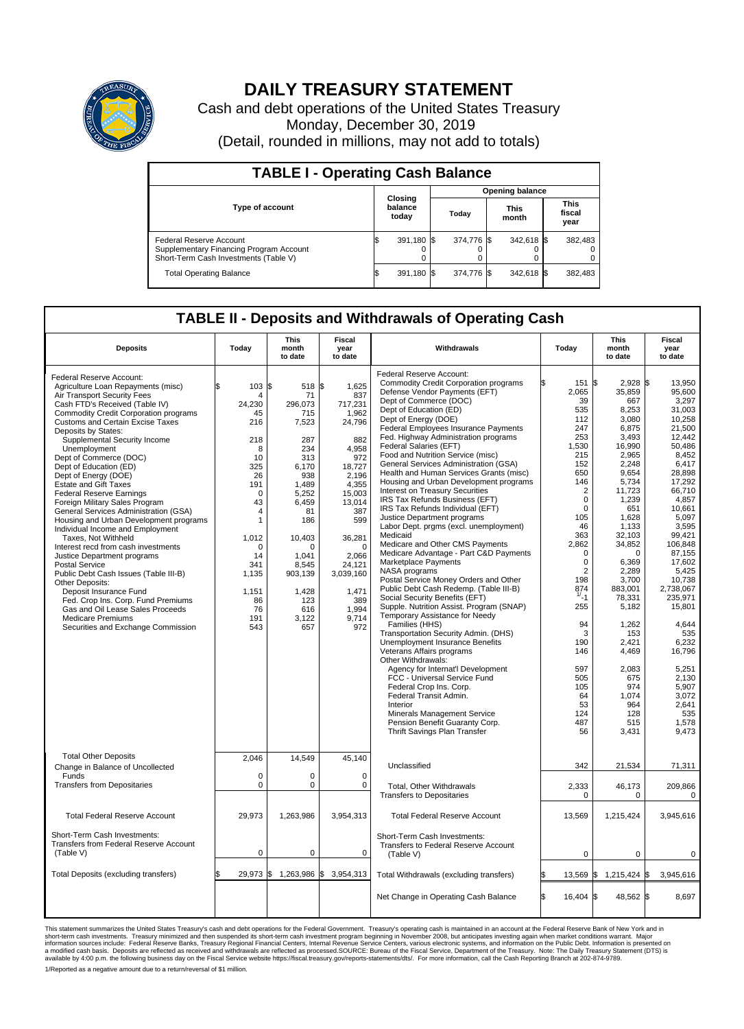

## **DAILY TREASURY STATEMENT**

Cash and debt operations of the United States Treasury Monday, December 30, 2019 (Detail, rounded in millions, may not add to totals)

| <b>TABLE I - Operating Cash Balance</b>                                                                     |    |                             |                        |            |  |                      |  |                               |  |
|-------------------------------------------------------------------------------------------------------------|----|-----------------------------|------------------------|------------|--|----------------------|--|-------------------------------|--|
|                                                                                                             |    |                             | <b>Opening balance</b> |            |  |                      |  |                               |  |
| <b>Type of account</b>                                                                                      |    | Closing<br>balance<br>today |                        | Today      |  | <b>This</b><br>month |  | <b>This</b><br>fiscal<br>year |  |
| Federal Reserve Account<br>Supplementary Financing Program Account<br>Short-Term Cash Investments (Table V) |    | 391,180 \$                  |                        | 374.776 \$ |  | 342,618 \$           |  | 382,483                       |  |
| <b>Total Operating Balance</b>                                                                              | ΙФ | 391,180 \$                  |                        | 374.776 \$ |  | 342,618 \$           |  | 382,483                       |  |

## **TABLE II - Deposits and Withdrawals of Operating Cash**

| <b>Deposits</b>                                                                                                                                                                                                                                                                                                                                                                                                                                                                                                                                                                                                                                                                                                                                                                                                                                                                                                                                                   | Today                                                                                                                                                                                                                       | <b>This</b><br>month<br>to date                                                                                                                                                                                | Fiscal<br>year<br>to date                                                                                                                                                                                                      | Withdrawals                                                                                                                                                                                                                                                                                                                                                                                                                                                                                                                                                                                                                                                                                                                                                                                                                                                                                                                                                                                                                                                                                                                                                                                                                                                                                                                                                                             | Today                                                                                                                                                                                                                                                                                                                          | <b>This</b><br>month<br>to date                                                                                                                                                                                                                                                                                                                             | Fiscal<br>year<br>to date                                                                                                                                                                                                                                                                                                                                               |
|-------------------------------------------------------------------------------------------------------------------------------------------------------------------------------------------------------------------------------------------------------------------------------------------------------------------------------------------------------------------------------------------------------------------------------------------------------------------------------------------------------------------------------------------------------------------------------------------------------------------------------------------------------------------------------------------------------------------------------------------------------------------------------------------------------------------------------------------------------------------------------------------------------------------------------------------------------------------|-----------------------------------------------------------------------------------------------------------------------------------------------------------------------------------------------------------------------------|----------------------------------------------------------------------------------------------------------------------------------------------------------------------------------------------------------------|--------------------------------------------------------------------------------------------------------------------------------------------------------------------------------------------------------------------------------|-----------------------------------------------------------------------------------------------------------------------------------------------------------------------------------------------------------------------------------------------------------------------------------------------------------------------------------------------------------------------------------------------------------------------------------------------------------------------------------------------------------------------------------------------------------------------------------------------------------------------------------------------------------------------------------------------------------------------------------------------------------------------------------------------------------------------------------------------------------------------------------------------------------------------------------------------------------------------------------------------------------------------------------------------------------------------------------------------------------------------------------------------------------------------------------------------------------------------------------------------------------------------------------------------------------------------------------------------------------------------------------------|--------------------------------------------------------------------------------------------------------------------------------------------------------------------------------------------------------------------------------------------------------------------------------------------------------------------------------|-------------------------------------------------------------------------------------------------------------------------------------------------------------------------------------------------------------------------------------------------------------------------------------------------------------------------------------------------------------|-------------------------------------------------------------------------------------------------------------------------------------------------------------------------------------------------------------------------------------------------------------------------------------------------------------------------------------------------------------------------|
| Federal Reserve Account:<br>Agriculture Loan Repayments (misc)<br>Air Transport Security Fees<br>Cash FTD's Received (Table IV)<br><b>Commodity Credit Corporation programs</b><br><b>Customs and Certain Excise Taxes</b><br>Deposits by States:<br>Supplemental Security Income<br>Unemployment<br>Dept of Commerce (DOC)<br>Dept of Education (ED)<br>Dept of Energy (DOE)<br><b>Estate and Gift Taxes</b><br><b>Federal Reserve Earnings</b><br>Foreign Military Sales Program<br>General Services Administration (GSA)<br>Housing and Urban Development programs<br>Individual Income and Employment<br>Taxes. Not Withheld<br>Interest recd from cash investments<br>Justice Department programs<br><b>Postal Service</b><br>Public Debt Cash Issues (Table III-B)<br>Other Deposits:<br>Deposit Insurance Fund<br>Fed. Crop Ins. Corp. Fund Premiums<br>Gas and Oil Lease Sales Proceeds<br><b>Medicare Premiums</b><br>Securities and Exchange Commission | \$<br>103S<br>$\overline{4}$<br>24.230<br>45<br>216<br>218<br>8<br>10<br>325<br>26<br>191<br>$\Omega$<br>43<br>$\overline{4}$<br>$\mathbf{1}$<br>1,012<br>$\Omega$<br>14<br>341<br>1,135<br>1,151<br>86<br>76<br>191<br>543 | 518 \$<br>71<br>296.073<br>715<br>7,523<br>287<br>234<br>313<br>6.170<br>938<br>1,489<br>5,252<br>6,459<br>81<br>186<br>10,403<br>$\Omega$<br>1,041<br>8,545<br>903,139<br>1,428<br>123<br>616<br>3,122<br>657 | 1,625<br>837<br>717,231<br>1,962<br>24,796<br>882<br>4,958<br>972<br>18,727<br>2,196<br>4,355<br>15,003<br>13,014<br>387<br>599<br>36,281<br>$\Omega$<br>2,066<br>24,121<br>3,039,160<br>1,471<br>389<br>1,994<br>9,714<br>972 | Federal Reserve Account:<br><b>Commodity Credit Corporation programs</b><br>Defense Vendor Payments (EFT)<br>Dept of Commerce (DOC)<br>Dept of Education (ED)<br>Dept of Energy (DOE)<br><b>Federal Employees Insurance Payments</b><br>Fed. Highway Administration programs<br>Federal Salaries (EFT)<br>Food and Nutrition Service (misc)<br>General Services Administration (GSA)<br>Health and Human Services Grants (misc)<br>Housing and Urban Development programs<br>Interest on Treasury Securities<br>IRS Tax Refunds Business (EFT)<br>IRS Tax Refunds Individual (EFT)<br>Justice Department programs<br>Labor Dept. prgms (excl. unemployment)<br>Medicaid<br>Medicare and Other CMS Payments<br>Medicare Advantage - Part C&D Payments<br>Marketplace Payments<br>NASA programs<br>Postal Service Money Orders and Other<br>Public Debt Cash Redemp. (Table III-B)<br>Social Security Benefits (EFT)<br>Supple. Nutrition Assist. Program (SNAP)<br>Temporary Assistance for Needy<br>Families (HHS)<br>Transportation Security Admin. (DHS)<br>Unemployment Insurance Benefits<br>Veterans Affairs programs<br>Other Withdrawals:<br>Agency for Internat'l Development<br>FCC - Universal Service Fund<br>Federal Crop Ins. Corp.<br>Federal Transit Admin.<br>Interior<br>Minerals Management Service<br>Pension Benefit Guaranty Corp.<br>Thrift Savings Plan Transfer | ß.<br>151<br>2,065<br>39<br>535<br>112<br>247<br>253<br>1.530<br>215<br>152<br>650<br>146<br>$\overline{2}$<br>$\mathbf 0$<br>$\mathbf 0$<br>105<br>46<br>363<br>2,862<br>$\mathbf 0$<br>$\Omega$<br>$\overline{2}$<br>198<br>874<br>1/21<br>255<br>94<br>3<br>190<br>146<br>597<br>505<br>105<br>64<br>53<br>124<br>487<br>56 | \$<br>$2.928$ \$<br>35,859<br>667<br>8,253<br>3,080<br>6,875<br>3,493<br>16,990<br>2,965<br>2,248<br>9.654<br>5,734<br>11,723<br>1,239<br>651<br>1,628<br>1,133<br>32,103<br>34,852<br>$\mathbf 0$<br>6.369<br>2,289<br>3,700<br>883,001<br>78,331<br>5,182<br>1,262<br>153<br>2,421<br>4,469<br>2,083<br>675<br>974<br>1,074<br>964<br>128<br>515<br>3,431 | 13.950<br>95,600<br>3,297<br>31,003<br>10,258<br>21,500<br>12,442<br>50.486<br>8,452<br>6.417<br>28.898<br>17,292<br>66,710<br>4,857<br>10,661<br>5,097<br>3.595<br>99,421<br>106,848<br>87,155<br>17.602<br>5,425<br>10,738<br>2,738,067<br>235,971<br>15,801<br>4,644<br>535<br>6,232<br>16,796<br>5,251<br>2,130<br>5,907<br>3,072<br>2.641<br>535<br>1,578<br>9,473 |
| <b>Total Other Deposits</b><br>Change in Balance of Uncollected                                                                                                                                                                                                                                                                                                                                                                                                                                                                                                                                                                                                                                                                                                                                                                                                                                                                                                   | 2,046                                                                                                                                                                                                                       | 14,549                                                                                                                                                                                                         | 45,140                                                                                                                                                                                                                         | Unclassified                                                                                                                                                                                                                                                                                                                                                                                                                                                                                                                                                                                                                                                                                                                                                                                                                                                                                                                                                                                                                                                                                                                                                                                                                                                                                                                                                                            | 342                                                                                                                                                                                                                                                                                                                            | 21,534                                                                                                                                                                                                                                                                                                                                                      | 71,311                                                                                                                                                                                                                                                                                                                                                                  |
| Funds<br><b>Transfers from Depositaries</b>                                                                                                                                                                                                                                                                                                                                                                                                                                                                                                                                                                                                                                                                                                                                                                                                                                                                                                                       | 0<br>$\mathbf 0$                                                                                                                                                                                                            | 0<br>$\mathbf 0$                                                                                                                                                                                               | $\mathbf 0$<br>$\mathbf 0$                                                                                                                                                                                                     | Total, Other Withdrawals<br><b>Transfers to Depositaries</b>                                                                                                                                                                                                                                                                                                                                                                                                                                                                                                                                                                                                                                                                                                                                                                                                                                                                                                                                                                                                                                                                                                                                                                                                                                                                                                                            | 2,333<br>0                                                                                                                                                                                                                                                                                                                     | 46,173<br>$\mathbf 0$                                                                                                                                                                                                                                                                                                                                       | 209,866<br>0                                                                                                                                                                                                                                                                                                                                                            |
| <b>Total Federal Reserve Account</b>                                                                                                                                                                                                                                                                                                                                                                                                                                                                                                                                                                                                                                                                                                                                                                                                                                                                                                                              | 29,973                                                                                                                                                                                                                      | 1,263,986                                                                                                                                                                                                      | 3,954,313                                                                                                                                                                                                                      | <b>Total Federal Reserve Account</b>                                                                                                                                                                                                                                                                                                                                                                                                                                                                                                                                                                                                                                                                                                                                                                                                                                                                                                                                                                                                                                                                                                                                                                                                                                                                                                                                                    | 13,569                                                                                                                                                                                                                                                                                                                         | 1,215,424                                                                                                                                                                                                                                                                                                                                                   | 3,945,616                                                                                                                                                                                                                                                                                                                                                               |
| Short-Term Cash Investments:<br>Transfers from Federal Reserve Account<br>(Table V)                                                                                                                                                                                                                                                                                                                                                                                                                                                                                                                                                                                                                                                                                                                                                                                                                                                                               | $\mathbf 0$                                                                                                                                                                                                                 | 0                                                                                                                                                                                                              | 0                                                                                                                                                                                                                              | Short-Term Cash Investments:<br>Transfers to Federal Reserve Account<br>(Table V)                                                                                                                                                                                                                                                                                                                                                                                                                                                                                                                                                                                                                                                                                                                                                                                                                                                                                                                                                                                                                                                                                                                                                                                                                                                                                                       | $\mathbf 0$                                                                                                                                                                                                                                                                                                                    | $\mathbf 0$                                                                                                                                                                                                                                                                                                                                                 | 0                                                                                                                                                                                                                                                                                                                                                                       |
| Total Deposits (excluding transfers)                                                                                                                                                                                                                                                                                                                                                                                                                                                                                                                                                                                                                                                                                                                                                                                                                                                                                                                              | $29,973$ \$                                                                                                                                                                                                                 | 1,263,986 \$                                                                                                                                                                                                   | 3,954,313                                                                                                                                                                                                                      | Total Withdrawals (excluding transfers)                                                                                                                                                                                                                                                                                                                                                                                                                                                                                                                                                                                                                                                                                                                                                                                                                                                                                                                                                                                                                                                                                                                                                                                                                                                                                                                                                 | 13,569                                                                                                                                                                                                                                                                                                                         | <b>S</b><br>1,215,424 \$                                                                                                                                                                                                                                                                                                                                    | 3,945,616                                                                                                                                                                                                                                                                                                                                                               |
|                                                                                                                                                                                                                                                                                                                                                                                                                                                                                                                                                                                                                                                                                                                                                                                                                                                                                                                                                                   |                                                                                                                                                                                                                             |                                                                                                                                                                                                                |                                                                                                                                                                                                                                | Net Change in Operating Cash Balance                                                                                                                                                                                                                                                                                                                                                                                                                                                                                                                                                                                                                                                                                                                                                                                                                                                                                                                                                                                                                                                                                                                                                                                                                                                                                                                                                    | \$.<br>16,404 \$                                                                                                                                                                                                                                                                                                               | 48,562 \$                                                                                                                                                                                                                                                                                                                                                   | 8.697                                                                                                                                                                                                                                                                                                                                                                   |

This statement summarizes the United States Treasury's cash and debt operations for the Federal Government. Treasury soperating in November 2008, but anticiarded in a cocount at the Federal metaform mathemultions warrant.

1/Reported as a negative amount due to a return/reversal of \$1 million.